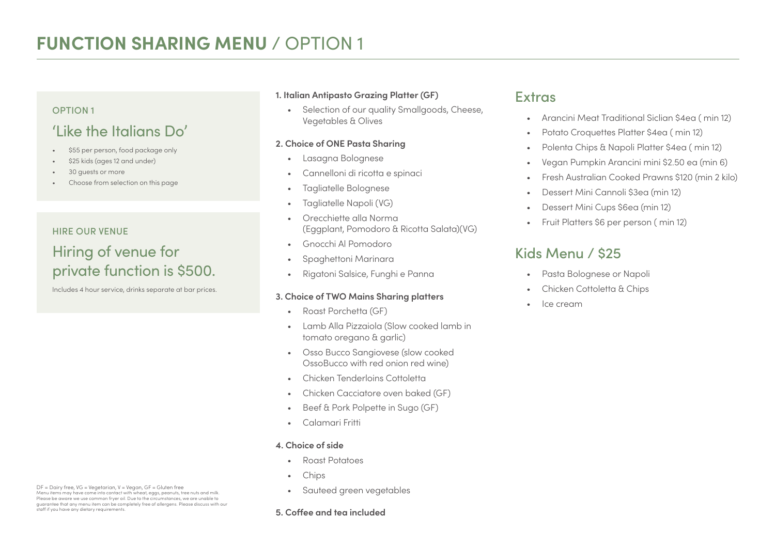## OPTION 1

# 'Like the Italians Do'

- \$55 per person, food package only
- \$25 kids (ages 12 and under)
- 30 quests or more
- Choose from selection on this page

# HIRE OUR VENUE

# Hiring of venue for private function is \$500.

Includes 4 hour service, drinks separate at bar prices.

**1. Italian Antipasto Grazing Platter (GF)**

• Selection of our quality Smallgoods, Cheese, Vegetables & Olives

## **2. Choice of ONE Pasta Sharing**

- Lasagna Bolognese
- Cannelloni di ricotta e spinaci
- Tagliatelle Bolognese
- Tagliatelle Napoli (VG)
- Orecchiette alla Norma (Eggplant, Pomodoro & Ricotta Salata)(VG)
- Gnocchi Al Pomodoro
- Spaghettoni Marinara
- Rigatoni Salsice, Funghi e Panna

## **3. Choice of TWO Mains Sharing platters**

- Lamb Alla Pizzaiola (Slow cooked lamb in tomato oregano & garlic)
- Osso Bucco Sangiovese (slow cooked OssoBucco with red onion red wine)
- Chicken Tenderloins Cottoletta
- Chicken Cacciatore oven baked (GF)
- Beef & Pork Polpette in Sugo (GF)
- Calamari Fritti

## **4. Choice of side**

- Roast Potatoes
- Chips
- Sauteed green vegetables

• Roast Porchetta (GF)

- 
- 

## **5. Coffee and tea included**

# Extras

- Arancini Meat Traditional Siclian \$4ea ( min 12)
- Potato Croquettes Platter \$4ea ( min 12)
- Polenta Chips & Napoli Platter \$4ea ( min 12)
- Vegan Pumpkin Arancini mini \$2.50 ea (min 6)
- Fresh Australian Cooked Prawns \$120 (min 2 kilo)
- Dessert Mini Cannoli \$3ea (min 12)
- Dessert Mini Cups \$6ea (min 12)
- Fruit Platters \$6 per person ( min 12)

# Kids Menu / \$25

- Pasta Bolognese or Napoli
- Chicken Cottoletta & Chips
- Ice cream

DF = Dairy free, VG = Vegetarian, V = Vegan, GF = Gluten free Menu items may have come into contact with wheat, eggs, peanuts, tree nuts and milk. Please be aware we use common fryer oil. Due to the circumstances, we are unable to guarantee that any menu item can be completely free of allergens. Please discuss with our staff if you have any dietary requirements.